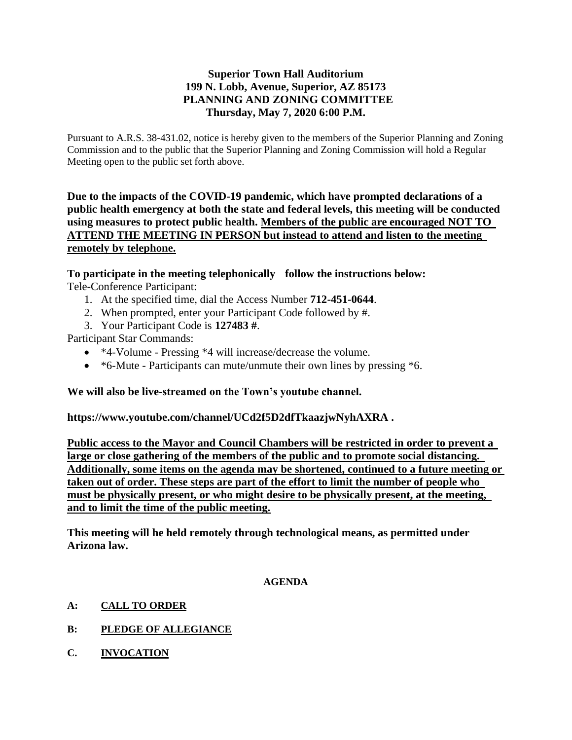# **Superior Town Hall Auditorium 199 N. Lobb, Avenue, Superior, AZ 85173 PLANNING AND ZONING COMMITTEE Thursday, May 7, 2020 6:00 P.M.**

Pursuant to A.R.S. 38-431.02, notice is hereby given to the members of the Superior Planning and Zoning Commission and to the public that the Superior Planning and Zoning Commission will hold a Regular Meeting open to the public set forth above.

**Due to the impacts of the COVID-19 pandemic, which have prompted declarations of a public health emergency at both the state and federal levels, this meeting will be conducted using measures to protect public health. Members of the public are encouraged NOT TO ATTEND THE MEETING IN PERSON but instead to attend and listen to the meeting remotely by telephone.**

**To participate in the meeting telephonically follow the instructions below:** Tele-Conference Participant:

- 1. At the specified time, dial the Access Number **712-451-0644**.
- 2. When prompted, enter your Participant Code followed by #.
- 3. Your Participant Code is **127483 #**.

Participant Star Commands:

- \*4-Volume Pressing \*4 will increase/decrease the volume.
- \*6-Mute Participants can mute/unmute their own lines by pressing \*6.

## **We will also be live-streamed on the Town's youtube channel.**

**https://www.youtube.com/channel/UCd2f5D2dfTkaazjwNyhAXRA .** 

**Public access to the Mayor and Council Chambers will be restricted in order to prevent a large or close gathering of the members of the public and to promote social distancing. Additionally, some items on the agenda may be shortened, continued to a future meeting or taken out of order. These steps are part of the effort to limit the number of people who must be physically present, or who might desire to be physically present, at the meeting, and to limit the time of the public meeting.**

**This meeting will he held remotely through technological means, as permitted under Arizona law.**

#### **AGENDA**

- **A: CALL TO ORDER**
- **B: PLEDGE OF ALLEGIANCE**
- **C. INVOCATION**